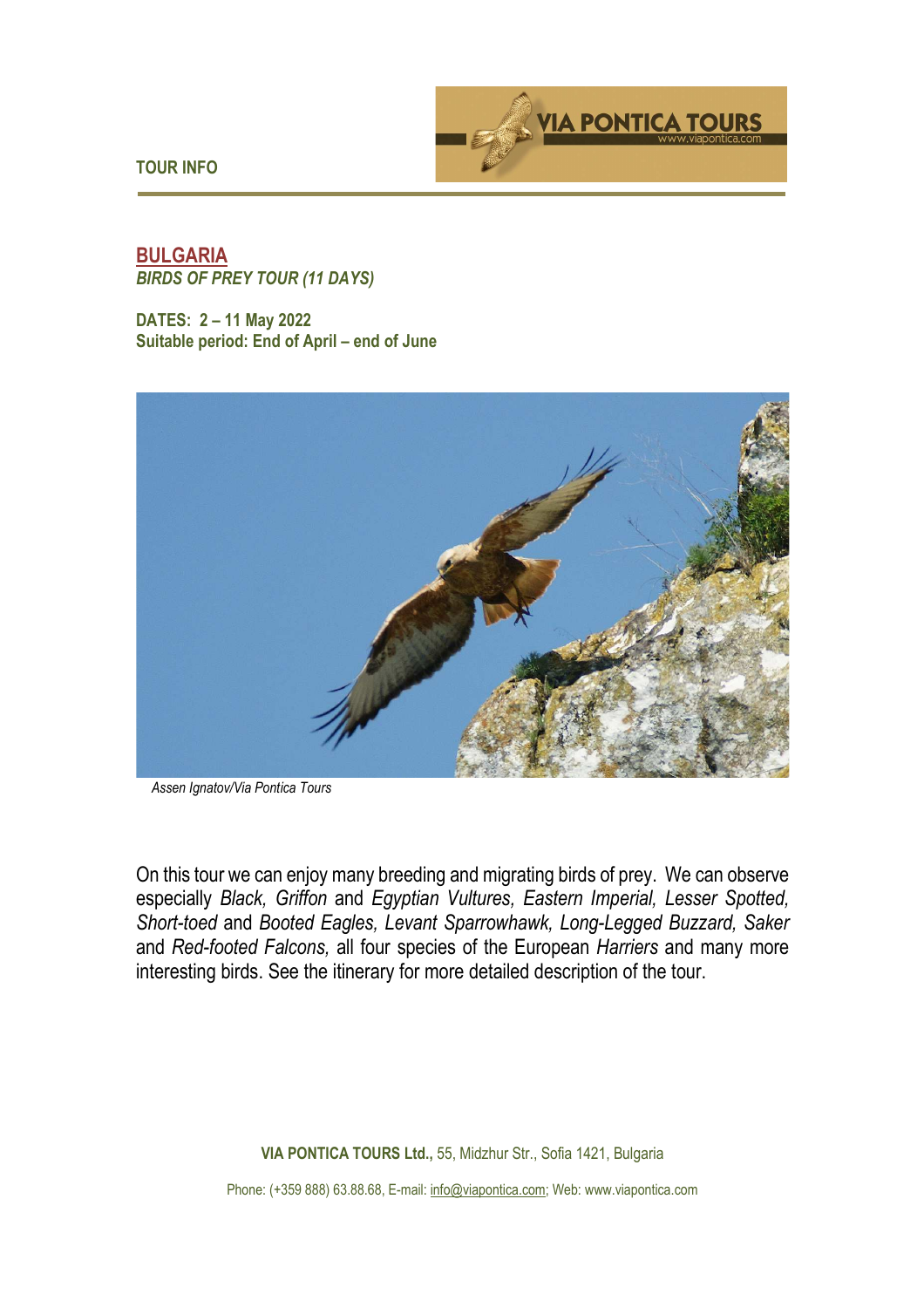

**TOUR INFO** 

## **BULGARIA**  *BIRDS OF PREY TOUR (11 DAYS)*

**DATES: 2 – 11 May 2022 Suitable period: End of April – end of June** 



*Assen Ignatov/Via Pontica Tours*

On this tour we can enjoy many breeding and migrating birds of prey. We can observe especially *Black, Griffon* and *Egyptian Vultures, Eastern Imperial, Lesser Spotted, Short-toed* and *Booted Eagles, Levant Sparrowhawk, Long-Legged Buzzard, Saker*  and *Red-footed Falcons,* all four species of the European *Harriers* and many more interesting birds. See the itinerary for more detailed description of the tour.

**VIA PONTICA TOURS Ltd.,** 55, Midzhur Str., Sofia 1421, Bulgaria

Phone: (+359 888) 63.88.68, E-mail: info@viapontica.com; Web: www.viapontica.com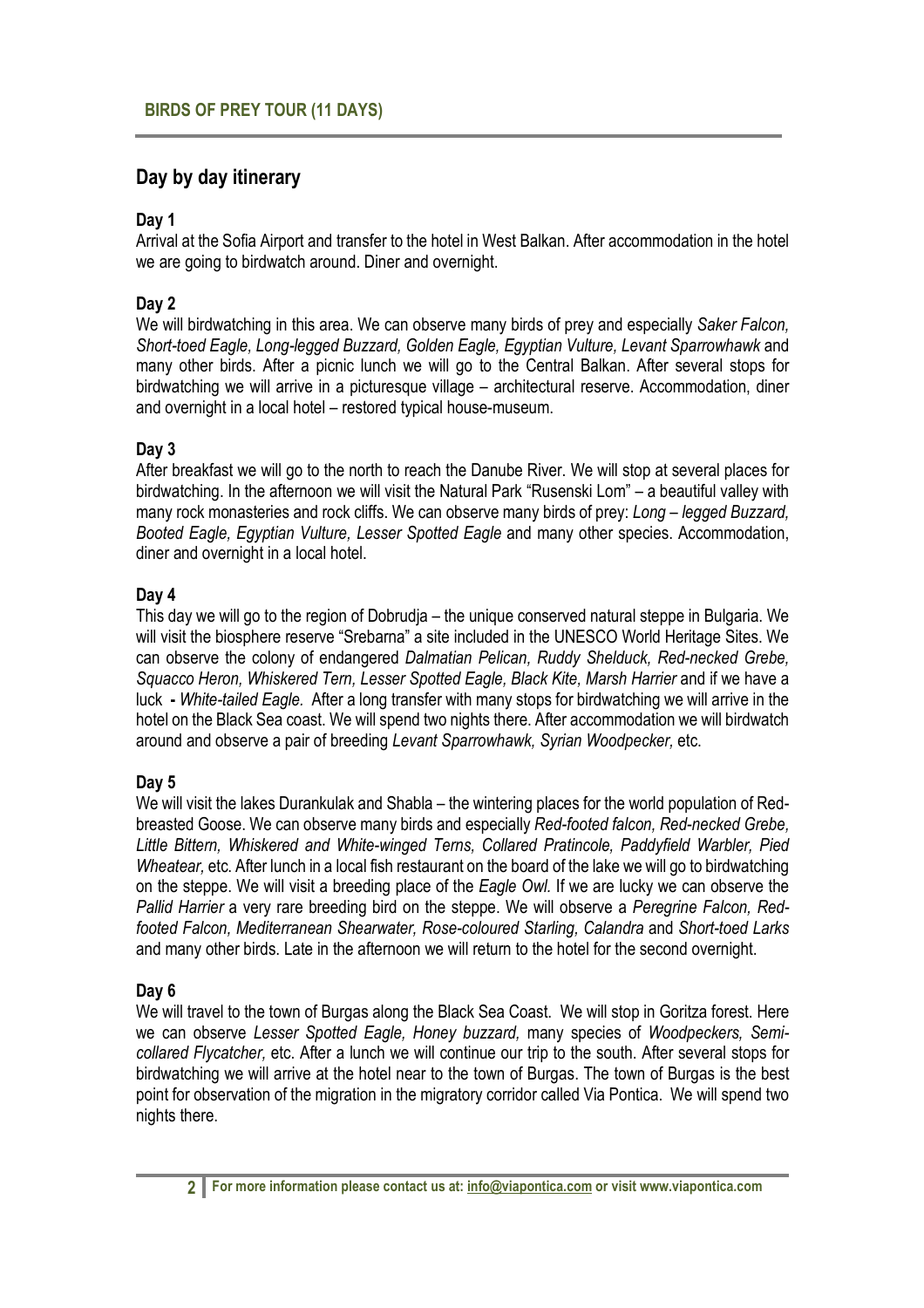# **Day by day itinerary**

## **Day 1**

Arrival at the Sofia Airport and transfer to the hotel in West Balkan. After accommodation in the hotel we are going to birdwatch around. Diner and overnight.

## **Day 2**

We will birdwatching in this area. We can observe many birds of prey and especially *Saker Falcon, Short-toed Eagle, Long-legged Buzzard, Golden Eagle, Egyptian Vulture, Levant Sparrowhawk* and many other birds. After a picnic lunch we will go to the Central Balkan. After several stops for birdwatching we will arrive in a picturesque village – architectural reserve. Accommodation, diner and overnight in a local hotel – restored typical house-museum.

## **Day 3**

After breakfast we will go to the north to reach the Danube River. We will stop at several places for birdwatching. In the afternoon we will visit the Natural Park "Rusenski Lom" – a beautiful valley with many rock monasteries and rock cliffs. We can observe many birds of prey: *Long – legged Buzzard, Booted Eagle, Egyptian Vulture, Lesser Spotted Eagle* and many other species. Accommodation, diner and overnight in a local hotel.

### **Day 4**

This day we will go to the region of Dobrudja – the unique conserved natural steppe in Bulgaria. We will visit the biosphere reserve "Srebarna" a site included in the UNESCO World Heritage Sites. We can observe the colony of endangered *Dalmatian Pelican, Ruddy Shelduck, Red-necked Grebe, Squacco Heron, Whiskered Tern, Lesser Spotted Eagle, Black Kite, Marsh Harrier* and if we have a luck **-** *White-tailed Eagle.* After a long transfer with many stops for birdwatching we will arrive in the hotel on the Black Sea coast. We will spend two nights there. After accommodation we will birdwatch around and observe a pair of breeding *Levant Sparrowhawk, Syrian Woodpecker,* etc.

### **Day 5**

We will visit the lakes Durankulak and Shabla – the wintering places for the world population of Redbreasted Goose. We can observe many birds and especially *Red-footed falcon, Red-necked Grebe, Little Bittern, Whiskered and White-winged Terns, Collared Pratincole, Paddyfield Warbler, Pied Wheatear,* etc. After lunch in a local fish restaurant on the board of the lake we will go to birdwatching on the steppe. We will visit a breeding place of the *Eagle Owl.* If we are lucky we can observe the *Pallid Harrier* a very rare breeding bird on the steppe. We will observe a *Peregrine Falcon, Redfooted Falcon, Mediterranean Shearwater, Rose-coloured Starling, Calandra* and *Short-toed Larks* and many other birds. Late in the afternoon we will return to the hotel for the second overnight.

### **Day 6**

We will travel to the town of Burgas along the Black Sea Coast. We will stop in Goritza forest. Here we can observe *Lesser Spotted Eagle, Honey buzzard,* many species of *Woodpeckers, Semicollared Flycatcher,* etc. After a lunch we will continue our trip to the south. After several stops for birdwatching we will arrive at the hotel near to the town of Burgas. The town of Burgas is the best point for observation of the migration in the migratory corridor called Via Pontica. We will spend two nights there.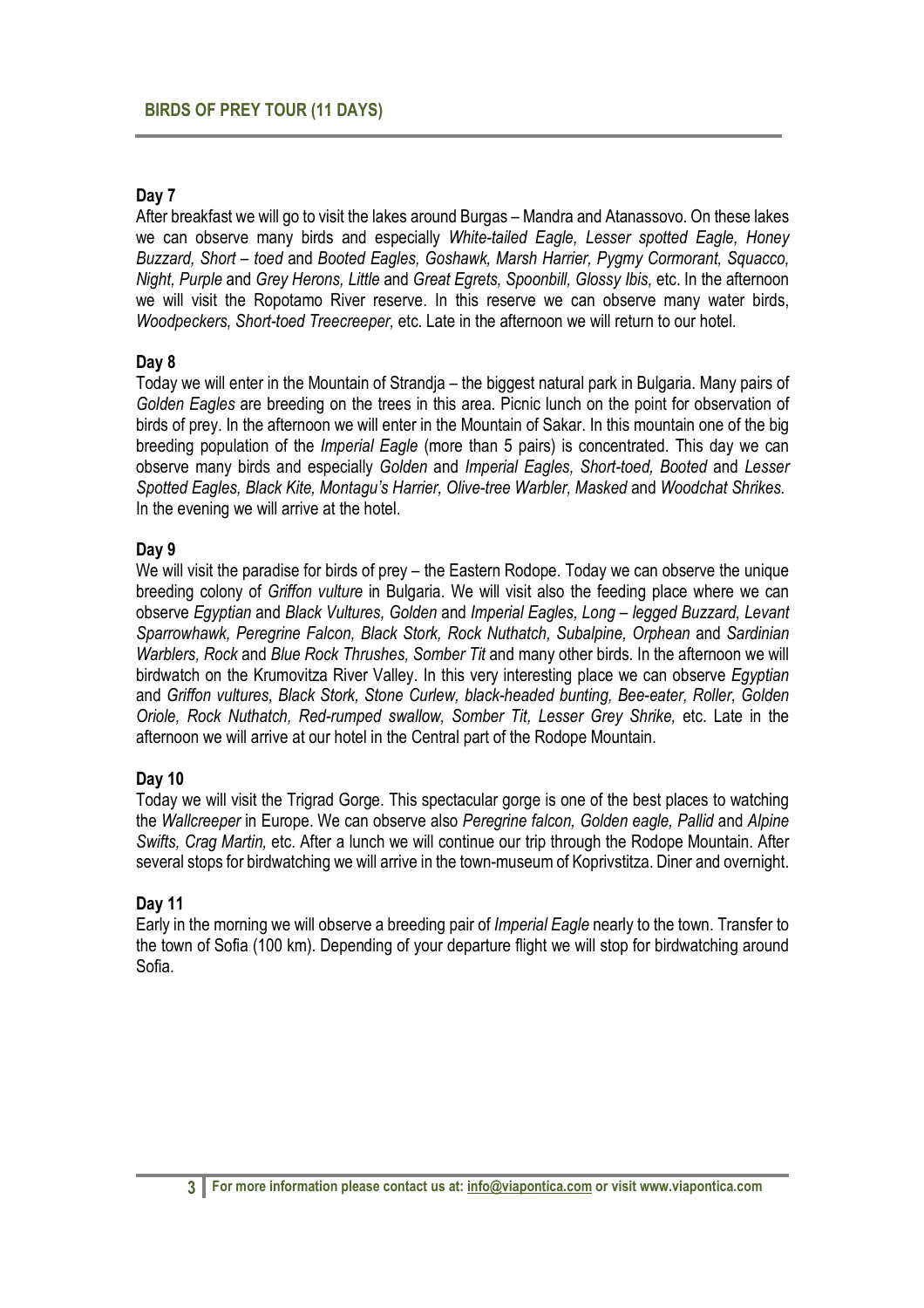#### **Day 7**

After breakfast we will go to visit the lakes around Burgas – Mandra and Atanassovo. On these lakes we can observe many birds and especially *White-tailed Eagle, Lesser spotted Eagle, Honey Buzzard, Short – toed* and *Booted Eagles, Goshawk, Marsh Harrier, Pygmy Cormorant, Squacco, Night, Purple* and *Grey Herons, Little* and *Great Egrets, Spoonbill, Glossy Ibis,* etc. In the afternoon we will visit the Ropotamo River reserve. In this reserve we can observe many water birds, *Woodpeckers, Short-toed Treecreeper,* etc. Late in the afternoon we will return to our hotel.

#### **Day 8**

Today we will enter in the Mountain of Strandja – the biggest natural park in Bulgaria. Many pairs of *Golden Eagles* are breeding on the trees in this area. Picnic lunch on the point for observation of birds of prey. In the afternoon we will enter in the Mountain of Sakar. In this mountain one of the big breeding population of the *Imperial Eagle* (more than 5 pairs) is concentrated. This day we can observe many birds and especially *Golden* and *Imperial Eagles, Short-toed, Booted* and *Lesser Spotted Eagles, Black Kite, Montagu's Harrier, Olive-tree Warbler, Masked* and *Woodchat Shrikes.*  In the evening we will arrive at the hotel.

#### **Day 9**

We will visit the paradise for birds of prey – the Eastern Rodope. Today we can observe the unique breeding colony of *Griffon vulture* in Bulgaria. We will visit also the feeding place where we can observe *Egyptian* and *Black Vultures, Golden* and *Imperial Eagles, Long – legged Buzzard, Levant Sparrowhawk, Peregrine Falcon, Black Stork, Rock Nuthatch, Subalpine, Orphean* and *Sardinian Warblers, Rock* and *Blue Rock Thrushes, Somber Tit* and many other birds. In the afternoon we will birdwatch on the Krumovitza River Valley. In this very interesting place we can observe *Egyptian* and *Griffon vultures, Black Stork, Stone Curlew, black-headed bunting, Bee-eater, Roller, Golden Oriole, Rock Nuthatch, Red-rumped swallow, Somber Tit, Lesser Grey Shrike,* etc. Late in the afternoon we will arrive at our hotel in the Central part of the Rodope Mountain.

### **Day 10**

Today we will visit the Trigrad Gorge. This spectacular gorge is one of the best places to watching the *Wallcreeper* in Europe. We can observe also *Peregrine falcon, Golden eagle, Pallid* and *Alpine Swifts, Crag Martin,* etc. After a lunch we will continue our trip through the Rodope Mountain. After several stops for birdwatching we will arrive in the town-museum of Koprivstitza. Diner and overnight.

### **Day 11**

Early in the morning we will observe a breeding pair of *Imperial Eagle* nearly to the town. Transfer to the town of Sofia (100 km). Depending of your departure flight we will stop for birdwatching around Sofia.